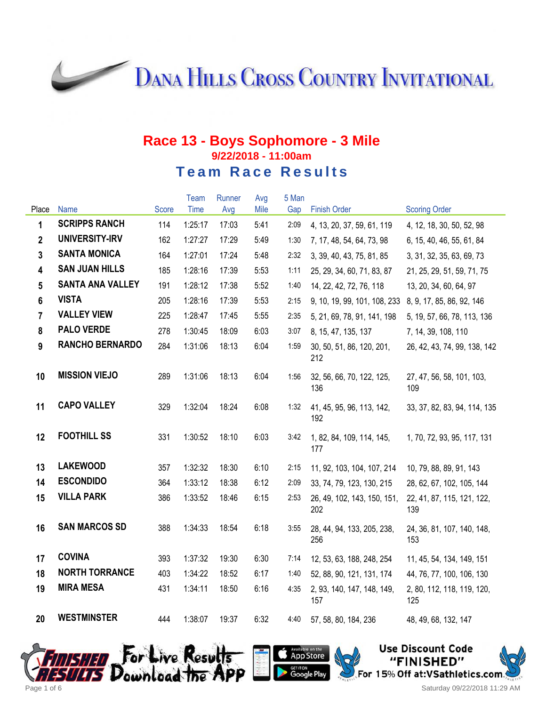**DANA HILLS CROSS COUNTRY INVITATIONAL** 

# **Race 13 - Boys Sophomore - 3 Mile 9/22/2018 - 11:00am Team Race Results**

|                         |                         |              | Team    | Runner | Avg  | 5 Man |                                    |                                   |
|-------------------------|-------------------------|--------------|---------|--------|------|-------|------------------------------------|-----------------------------------|
| Place                   | <b>Name</b>             | <b>Score</b> | Time    | Avg    | Mile | Gap   | <b>Finish Order</b>                | <b>Scoring Order</b>              |
| 1                       | <b>SCRIPPS RANCH</b>    | 114          | 1:25:17 | 17:03  | 5:41 | 2:09  | 4, 13, 20, 37, 59, 61, 119         | 4, 12, 18, 30, 50, 52, 98         |
| $\overline{2}$          | UNIVERSITY-IRV          | 162          | 1:27:27 | 17:29  | 5:49 | 1:30  | 7, 17, 48, 54, 64, 73, 98          | 6, 15, 40, 46, 55, 61, 84         |
| 3                       | <b>SANTA MONICA</b>     | 164          | 1:27:01 | 17:24  | 5:48 | 2:32  | 3, 39, 40, 43, 75, 81, 85          | 3, 31, 32, 35, 63, 69, 73         |
| $\overline{\mathbf{4}}$ | <b>SAN JUAN HILLS</b>   | 185          | 1:28:16 | 17:39  | 5:53 | 1:11  | 25, 29, 34, 60, 71, 83, 87         | 21, 25, 29, 51, 59, 71, 75        |
| 5                       | <b>SANTA ANA VALLEY</b> | 191          | 1:28:12 | 17:38  | 5:52 | 1:40  | 14, 22, 42, 72, 76, 118            | 13, 20, 34, 60, 64, 97            |
| 6                       | <b>VISTA</b>            | 205          | 1:28:16 | 17:39  | 5:53 | 2:15  | 9, 10, 19, 99, 101, 108, 233       | 8, 9, 17, 85, 86, 92, 146         |
| $\overline{7}$          | <b>VALLEY VIEW</b>      | 225          | 1:28:47 | 17:45  | 5:55 | 2:35  | 5, 21, 69, 78, 91, 141, 198        | 5, 19, 57, 66, 78, 113, 136       |
| 8                       | <b>PALO VERDE</b>       | 278          | 1:30:45 | 18:09  | 6:03 | 3:07  | 8, 15, 47, 135, 137                | 7, 14, 39, 108, 110               |
| 9                       | <b>RANCHO BERNARDO</b>  | 284          | 1:31:06 | 18:13  | 6:04 | 1:59  | 30, 50, 51, 86, 120, 201,<br>212   | 26, 42, 43, 74, 99, 138, 142      |
| 10                      | <b>MISSION VIEJO</b>    | 289          | 1:31:06 | 18:13  | 6:04 | 1:56  | 32, 56, 66, 70, 122, 125,<br>136   | 27, 47, 56, 58, 101, 103,<br>109  |
| 11                      | <b>CAPO VALLEY</b>      | 329          | 1:32:04 | 18:24  | 6:08 | 1:32  | 41, 45, 95, 96, 113, 142,<br>192   | 33, 37, 82, 83, 94, 114, 135      |
| 12                      | <b>FOOTHILL SS</b>      | 331          | 1:30:52 | 18:10  | 6:03 | 3:42  | 1, 82, 84, 109, 114, 145,<br>177   | 1, 70, 72, 93, 95, 117, 131       |
| 13                      | <b>LAKEWOOD</b>         | 357          | 1:32:32 | 18:30  | 6:10 | 2:15  | 11, 92, 103, 104, 107, 214         | 10, 79, 88, 89, 91, 143           |
| 14                      | <b>ESCONDIDO</b>        | 364          | 1:33:12 | 18:38  | 6:12 | 2:09  | 33, 74, 79, 123, 130, 215          | 28, 62, 67, 102, 105, 144         |
| 15                      | <b>VILLA PARK</b>       | 386          | 1:33:52 | 18:46  | 6:15 | 2:53  | 26, 49, 102, 143, 150, 151,<br>202 | 22, 41, 87, 115, 121, 122,<br>139 |
| 16                      | <b>SAN MARCOS SD</b>    | 388          | 1:34:33 | 18:54  | 6:18 | 3:55  | 28, 44, 94, 133, 205, 238,<br>256  | 24, 36, 81, 107, 140, 148,<br>153 |
| 17                      | <b>COVINA</b>           | 393          | 1:37:32 | 19:30  | 6:30 | 7:14  | 12, 53, 63, 188, 248, 254          | 11, 45, 54, 134, 149, 151         |
| 18                      | <b>NORTH TORRANCE</b>   | 403          | 1:34:22 | 18:52  | 6:17 | 1:40  | 52, 88, 90, 121, 131, 174          | 44, 76, 77, 100, 106, 130         |
| 19                      | <b>MIRA MESA</b>        | 431          | 1:34:11 | 18:50  | 6:16 | 4:35  | 2, 93, 140, 147, 148, 149,<br>157  | 2, 80, 112, 118, 119, 120,<br>125 |
| 20                      | <b>WESTMINSTER</b>      | 444          | 1:38:07 | 19:37  | 6:32 | 4:40  | 57, 58, 80, 184, 236               | 48, 49, 68, 132, 147              |





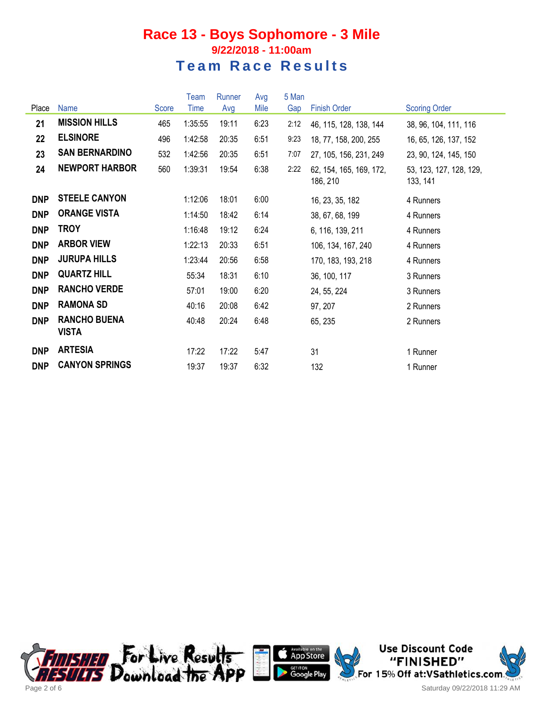|            |                                     |       | Team    | Runner | Avg  | 5 Man |                                     |                                     |
|------------|-------------------------------------|-------|---------|--------|------|-------|-------------------------------------|-------------------------------------|
| Place      | <b>Name</b>                         | Score | Time    | Avg    | Mile | Gap   | <b>Finish Order</b>                 | <b>Scoring Order</b>                |
| 21         | <b>MISSION HILLS</b>                | 465   | 1:35:55 | 19:11  | 6:23 | 2:12  | 46, 115, 128, 138, 144              | 38, 96, 104, 111, 116               |
| 22         | <b>ELSINORE</b>                     | 496   | 1:42:58 | 20:35  | 6:51 | 9:23  | 18, 77, 158, 200, 255               | 16, 65, 126, 137, 152               |
| 23         | <b>SAN BERNARDINO</b>               | 532   | 1:42:56 | 20:35  | 6:51 | 7:07  | 27, 105, 156, 231, 249              | 23, 90, 124, 145, 150               |
| 24         | <b>NEWPORT HARBOR</b>               | 560   | 1:39:31 | 19:54  | 6:38 | 2:22  | 62, 154, 165, 169, 172,<br>186, 210 | 53, 123, 127, 128, 129,<br>133, 141 |
| <b>DNP</b> | <b>STEELE CANYON</b>                |       | 1:12:06 | 18:01  | 6:00 |       | 16, 23, 35, 182                     | 4 Runners                           |
| <b>DNP</b> | <b>ORANGE VISTA</b>                 |       | 1:14:50 | 18:42  | 6:14 |       | 38, 67, 68, 199                     | 4 Runners                           |
| <b>DNP</b> | <b>TROY</b>                         |       | 1:16:48 | 19:12  | 6:24 |       | 6, 116, 139, 211                    | 4 Runners                           |
| <b>DNP</b> | <b>ARBOR VIEW</b>                   |       | 1:22:13 | 20:33  | 6:51 |       | 106, 134, 167, 240                  | 4 Runners                           |
| <b>DNP</b> | <b>JURUPA HILLS</b>                 |       | 1:23:44 | 20:56  | 6:58 |       | 170, 183, 193, 218                  | 4 Runners                           |
| <b>DNP</b> | <b>QUARTZ HILL</b>                  |       | 55:34   | 18:31  | 6:10 |       | 36, 100, 117                        | 3 Runners                           |
| <b>DNP</b> | <b>RANCHO VERDE</b>                 |       | 57:01   | 19:00  | 6:20 |       | 24, 55, 224                         | 3 Runners                           |
| <b>DNP</b> | <b>RAMONA SD</b>                    |       | 40:16   | 20:08  | 6:42 |       | 97, 207                             | 2 Runners                           |
| <b>DNP</b> | <b>RANCHO BUENA</b><br><b>VISTA</b> |       | 40:48   | 20:24  | 6:48 |       | 65, 235                             | 2 Runners                           |
| <b>DNP</b> | <b>ARTESIA</b>                      |       | 17:22   | 17:22  | 5:47 |       | 31                                  | 1 Runner                            |
| <b>DNP</b> | <b>CANYON SPRINGS</b>               |       | 19:37   | 19:37  | 6:32 |       | 132                                 | 1 Runner                            |





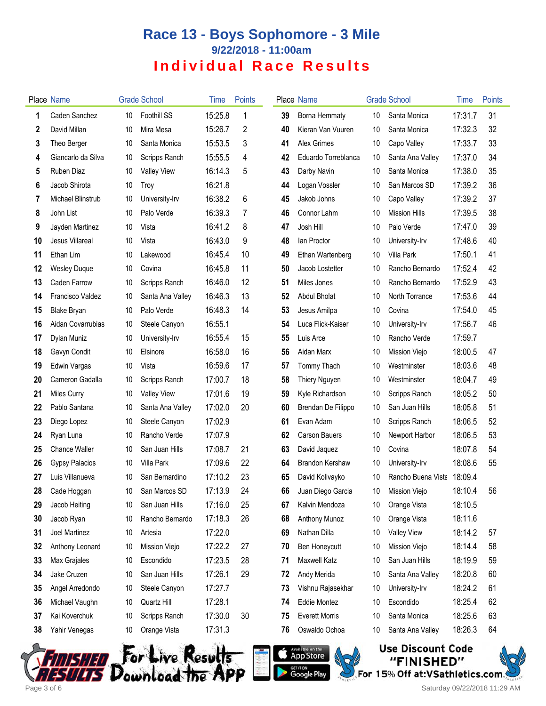|    | Place Name            |    | <b>Grade School</b> | Time    | <b>Points</b> |    | Place Name             |    | <b>Grade School</b>  | Time    | <b>Points</b> |
|----|-----------------------|----|---------------------|---------|---------------|----|------------------------|----|----------------------|---------|---------------|
| 1  | Caden Sanchez         | 10 | Foothill SS         | 15:25.8 | 1             | 39 | Borna Hemmaty          | 10 | Santa Monica         | 17:31.7 | 31            |
| 2  | David Millan          | 10 | Mira Mesa           | 15:26.7 | 2             | 40 | Kieran Van Vuuren      | 10 | Santa Monica         | 17:32.3 | 32            |
| 3  | Theo Berger           | 10 | Santa Monica        | 15:53.5 | 3             | 41 | Alex Grimes            | 10 | Capo Valley          | 17:33.7 | 33            |
| 4  | Giancarlo da Silva    | 10 | Scripps Ranch       | 15:55.5 | 4             | 42 | Eduardo Torreblanca    | 10 | Santa Ana Valley     | 17:37.0 | 34            |
| 5  | Ruben Diaz            | 10 | <b>Valley View</b>  | 16:14.3 | 5             | 43 | Darby Navin            | 10 | Santa Monica         | 17:38.0 | 35            |
| 6  | Jacob Shirota         | 10 | Troy                | 16:21.8 |               | 44 | Logan Vossler          | 10 | San Marcos SD        | 17:39.2 | 36            |
| 7  | Michael Blinstrub     | 10 | University-Irv      | 16:38.2 | 6             | 45 | Jakob Johns            | 10 | Capo Valley          | 17:39.2 | 37            |
| 8  | John List             | 10 | Palo Verde          | 16:39.3 | 7             | 46 | Connor Lahm            | 10 | <b>Mission Hills</b> | 17:39.5 | 38            |
| 9  | Jayden Martinez       | 10 | Vista               | 16:41.2 | 8             | 47 | Josh Hill              | 10 | Palo Verde           | 17:47.0 | 39            |
| 10 | Jesus Villareal       | 10 | Vista               | 16:43.0 | 9             | 48 | lan Proctor            | 10 | University-Irv       | 17:48.6 | 40            |
| 11 | Ethan Lim             | 10 | Lakewood            | 16:45.4 | 10            | 49 | Ethan Wartenberg       | 10 | Villa Park           | 17:50.1 | 41            |
| 12 | <b>Wesley Duque</b>   | 10 | Covina              | 16:45.8 | 11            | 50 | Jacob Lostetter        | 10 | Rancho Bernardo      | 17:52.4 | 42            |
| 13 | Caden Farrow          | 10 | Scripps Ranch       | 16:46.0 | 12            | 51 | Miles Jones            | 10 | Rancho Bernardo      | 17:52.9 | 43            |
| 14 | Francisco Valdez      | 10 | Santa Ana Valley    | 16:46.3 | 13            | 52 | <b>Abdul Bholat</b>    | 10 | North Torrance       | 17:53.6 | 44            |
| 15 | <b>Blake Bryan</b>    | 10 | Palo Verde          | 16:48.3 | 14            | 53 | Jesus Amilpa           | 10 | Covina               | 17:54.0 | 45            |
| 16 | Aidan Covarrubias     | 10 | Steele Canyon       | 16:55.1 |               | 54 | Luca Flick-Kaiser      | 10 | University-Irv       | 17:56.7 | 46            |
| 17 | Dylan Muniz           | 10 | University-Irv      | 16:55.4 | 15            | 55 | Luis Arce              | 10 | Rancho Verde         | 17:59.7 |               |
| 18 | Gavyn Condit          | 10 | Elsinore            | 16:58.0 | 16            | 56 | Aidan Marx             | 10 | Mission Viejo        | 18:00.5 | 47            |
| 19 | Edwin Vargas          | 10 | Vista               | 16:59.6 | 17            | 57 | Tommy Thach            | 10 | Westminster          | 18:03.6 | 48            |
| 20 | Cameron Gadalla       | 10 | Scripps Ranch       | 17:00.7 | 18            | 58 | Thiery Nguyen          | 10 | Westminster          | 18:04.7 | 49            |
| 21 | <b>Miles Curry</b>    | 10 | <b>Valley View</b>  | 17:01.6 | 19            | 59 | Kyle Richardson        | 10 | Scripps Ranch        | 18:05.2 | 50            |
| 22 | Pablo Santana         | 10 | Santa Ana Valley    | 17:02.0 | 20            | 60 | Brendan De Filippo     | 10 | San Juan Hills       | 18:05.8 | 51            |
| 23 | Diego Lopez           | 10 | Steele Canyon       | 17:02.9 |               | 61 | Evan Adam              | 10 | Scripps Ranch        | 18:06.5 | 52            |
| 24 | Ryan Luna             | 10 | Rancho Verde        | 17:07.9 |               | 62 | <b>Carson Bauers</b>   | 10 | Newport Harbor       | 18:06.5 | 53            |
| 25 | Chance Waller         | 10 | San Juan Hills      | 17:08.7 | 21            | 63 | David Jaquez           | 10 | Covina               | 18:07.8 | 54            |
| 26 | <b>Gypsy Palacios</b> | 10 | Villa Park          | 17:09.6 | 22            | 64 | <b>Brandon Kershaw</b> | 10 | University-Irv       | 18:08.6 | 55            |
| 27 | Luis Villanueva       | 10 | San Bernardino      | 17:10.2 | 23            | 65 | David Kolivayko        | 10 | Rancho Buena Vista   | 18:09.4 |               |
| 28 | Cade Hoggan           | 10 | San Marcos SD       | 17:13.9 | 24            |    | 66 Juan Diego Garcia   | 10 | Mission Viejo        | 18:10.4 | 56            |
| 29 | Jacob Heiting         | 10 | San Juan Hills      | 17:16.0 | 25            | 67 | Kalvin Mendoza         | 10 | Orange Vista         | 18:10.5 |               |
| 30 | Jacob Ryan            | 10 | Rancho Bernardo     | 17:18.3 | 26            | 68 | Anthony Munoz          | 10 | Orange Vista         | 18:11.6 |               |
| 31 | Joel Martinez         | 10 | Artesia             | 17:22.0 |               | 69 | Nathan Dilla           | 10 | <b>Valley View</b>   | 18:14.2 | 57            |
| 32 | Anthony Leonard       | 10 | Mission Viejo       | 17:22.2 | 27            | 70 | Ben Honeycutt          | 10 | Mission Viejo        | 18:14.4 | 58            |
| 33 | Max Grajales          | 10 | Escondido           | 17:23.5 | 28            | 71 | <b>Maxwell Katz</b>    | 10 | San Juan Hills       | 18:19.9 | 59            |
| 34 | Jake Cruzen           | 10 | San Juan Hills      | 17:26.1 | 29            | 72 | Andy Merida            | 10 | Santa Ana Valley     | 18:20.8 | 60            |
| 35 | Angel Arredondo       | 10 | Steele Canyon       | 17:27.7 |               | 73 | Vishnu Rajasekhar      | 10 | University-Irv       | 18:24.2 | 61            |
| 36 | Michael Vaughn        | 10 | Quartz Hill         | 17:28.1 |               | 74 | Eddie Montez           | 10 | Escondido            | 18:25.4 | 62            |
| 37 | Kai Koverchuk         | 10 | Scripps Ranch       | 17:30.0 | 30            | 75 | <b>Everett Morris</b>  | 10 | Santa Monica         | 18:25.6 | 63            |
| 38 | Yahir Venegas         | 10 | Orange Vista        | 17:31.3 |               | 76 | Oswaldo Ochoa          | 10 | Santa Ana Valley     | 18:26.3 | 64            |
|    |                       |    |                     |         |               |    |                        |    |                      |         |               |







**Use Discount Code** "FINISHED" For 15% Off at: VSathletics.com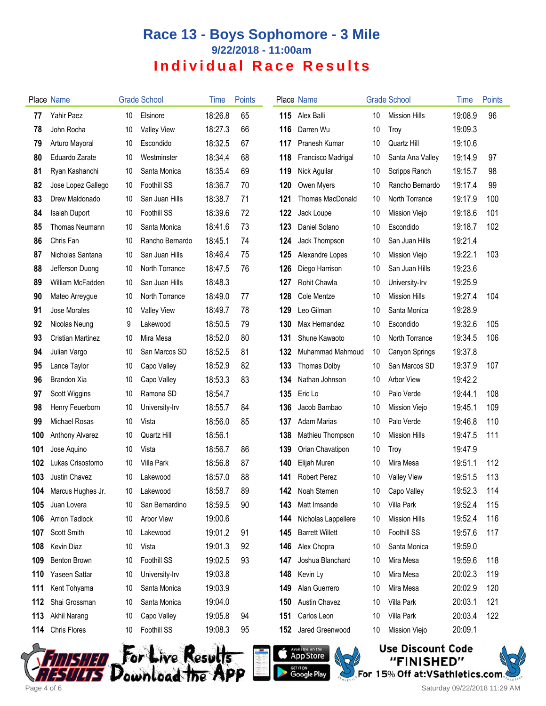|     | Place Name            |    | <b>Grade School</b> | Time    | <b>Points</b> |     | Place Name              |    | <b>Grade School</b>  | Time    | <b>Points</b> |
|-----|-----------------------|----|---------------------|---------|---------------|-----|-------------------------|----|----------------------|---------|---------------|
| 77  | Yahir Paez            | 10 | Elsinore            | 18:26.8 | 65            | 115 | Alex Balli              | 10 | <b>Mission Hills</b> | 19:08.9 | 96            |
| 78  | John Rocha            | 10 | <b>Valley View</b>  | 18:27.3 | 66            | 116 | Darren Wu               | 10 | Troy                 | 19:09.3 |               |
| 79  | Arturo Mayoral        | 10 | Escondido           | 18:32.5 | 67            | 117 | Pranesh Kumar           | 10 | Quartz Hill          | 19:10.6 |               |
| 80  | Eduardo Zarate        | 10 | Westminster         | 18:34.4 | 68            | 118 | Francisco Madrigal      | 10 | Santa Ana Valley     | 19:14.9 | 97            |
| 81  | Ryan Kashanchi        | 10 | Santa Monica        | 18:35.4 | 69            | 119 | Nick Aguilar            | 10 | Scripps Ranch        | 19:15.7 | 98            |
| 82  | Jose Lopez Gallego    | 10 | Foothill SS         | 18:36.7 | 70            | 120 | Owen Myers              | 10 | Rancho Bernardo      | 19:17.4 | 99            |
| 83  | Drew Maldonado        | 10 | San Juan Hills      | 18:38.7 | 71            | 121 | <b>Thomas MacDonald</b> | 10 | North Torrance       | 19:17.9 | 100           |
| 84  | Isaiah Duport         | 10 | Foothill SS         | 18:39.6 | 72            | 122 | Jack Loupe              | 10 | Mission Viejo        | 19:18.6 | 101           |
| 85  | <b>Thomas Neumann</b> | 10 | Santa Monica        | 18:41.6 | 73            | 123 | Daniel Solano           | 10 | Escondido            | 19:18.7 | 102           |
| 86  | Chris Fan             | 10 | Rancho Bernardo     | 18:45.1 | 74            | 124 | Jack Thompson           | 10 | San Juan Hills       | 19:21.4 |               |
| 87  | Nicholas Santana      | 10 | San Juan Hills      | 18:46.4 | 75            | 125 | Alexandre Lopes         | 10 | Mission Viejo        | 19:22.1 | 103           |
| 88  | Jefferson Duong       | 10 | North Torrance      | 18:47.5 | 76            | 126 | Diego Harrison          | 10 | San Juan Hills       | 19:23.6 |               |
| 89  | William McFadden      | 10 | San Juan Hills      | 18:48.3 |               | 127 | Rohit Chawla            | 10 | University-Irv       | 19:25.9 |               |
| 90  | Mateo Arreygue        | 10 | North Torrance      | 18:49.0 | 77            | 128 | Cole Mentze             | 10 | <b>Mission Hills</b> | 19:27.4 | 104           |
| 91  | Jose Morales          | 10 | <b>Valley View</b>  | 18:49.7 | 78            | 129 | Leo Gilman              | 10 | Santa Monica         | 19:28.9 |               |
| 92  | Nicolas Neung         | 9  | Lakewood            | 18:50.5 | 79            | 130 | Max Hernandez           | 10 | Escondido            | 19:32.6 | 105           |
| 93  | Cristian Martinez     | 10 | Mira Mesa           | 18:52.0 | 80            | 131 | Shune Kawaoto           | 10 | North Torrance       | 19:34.5 | 106           |
| 94  | Julian Vargo          | 10 | San Marcos SD       | 18:52.5 | 81            | 132 | Muhammad Mahmoud        | 10 | Canyon Springs       | 19:37.8 |               |
| 95  | Lance Taylor          | 10 | Capo Valley         | 18:52.9 | 82            | 133 | <b>Thomas Dolby</b>     | 10 | San Marcos SD        | 19:37.9 | 107           |
| 96  | Brandon Xia           | 10 | Capo Valley         | 18:53.3 | 83            | 134 | Nathan Johnson          | 10 | <b>Arbor View</b>    | 19:42.2 |               |
| 97  | Scott Wiggins         | 10 | Ramona SD           | 18:54.7 |               | 135 | Eric Lo                 | 10 | Palo Verde           | 19:44.1 | 108           |
| 98  | Henry Feuerborn       | 10 | University-Irv      | 18:55.7 | 84            | 136 | Jacob Bambao            | 10 | Mission Viejo        | 19:45.1 | 109           |
| 99  | Michael Rosas         | 10 | Vista               | 18:56.0 | 85            | 137 | <b>Adam Marias</b>      | 10 | Palo Verde           | 19:46.8 | 110           |
| 100 | Anthony Alvarez       | 10 | Quartz Hill         | 18:56.1 |               | 138 | Mathieu Thompson        | 10 | <b>Mission Hills</b> | 19:47.5 | 111           |
| 101 | Jose Aquino           | 10 | Vista               | 18:56.7 | 86            | 139 | Orian Chavatipon        | 10 | Troy                 | 19:47.9 |               |
| 102 | Lukas Crisostomo      | 10 | Villa Park          | 18:56.8 | 87            | 140 | Elijah Muren            | 10 | Mira Mesa            | 19:51.1 | 112           |
| 103 | Justin Chavez         | 10 | Lakewood            | 18:57.0 | 88            | 141 | <b>Robert Perez</b>     | 10 | <b>Valley View</b>   | 19:51.5 | 113           |
|     | 104 Marcus Hughes Jr. |    | 10 Lakewood         | 18:58.7 | 89            | 142 | Noah Stemen             | 10 | Capo Valley          | 19:52.3 | 114           |
| 105 | Juan Lovera           | 10 | San Bernardino      | 18:59.5 | 90            | 143 | Matt Imsande            | 10 | Villa Park           | 19:52.4 | 115           |
| 106 | <b>Arrion Tadlock</b> | 10 | <b>Arbor View</b>   | 19:00.6 |               | 144 | Nicholas Lappellere     | 10 | <b>Mission Hills</b> | 19:52.4 | 116           |
| 107 | Scott Smith           | 10 | Lakewood            | 19:01.2 | 91            | 145 | <b>Barrett Willett</b>  | 10 | Foothill SS          | 19:57.6 | 117           |
| 108 | Kevin Diaz            | 10 | Vista               | 19:01.3 | 92            | 146 | Alex Chopra             | 10 | Santa Monica         | 19:59.0 |               |
| 109 | Benton Brown          | 10 | Foothill SS         | 19:02.5 | 93            | 147 | Joshua Blanchard        | 10 | Mira Mesa            | 19:59.6 | 118           |
| 110 | Yaseen Sattar         | 10 | University-Irv      | 19:03.8 |               | 148 | Kevin Ly                | 10 | Mira Mesa            | 20:02.3 | 119           |
| 111 | Kent Tohyama          | 10 | Santa Monica        | 19:03.9 |               | 149 | Alan Guerrero           | 10 | Mira Mesa            | 20:02.9 | 120           |
| 112 | Shai Grossman         | 10 | Santa Monica        | 19:04.0 |               | 150 | <b>Austin Chavez</b>    | 10 | Villa Park           | 20:03.1 | 121           |
| 113 | Akhil Narang          | 10 | Capo Valley         | 19:05.8 | 94            | 151 | Carlos Leon             | 10 | Villa Park           | 20:03.4 | 122           |
| 114 | Chris Flores          | 10 | Foothill SS         | 19:08.3 | 95            | 152 | Jared Greenwood         | 10 | Mission Viejo        | 20:09.1 |               |







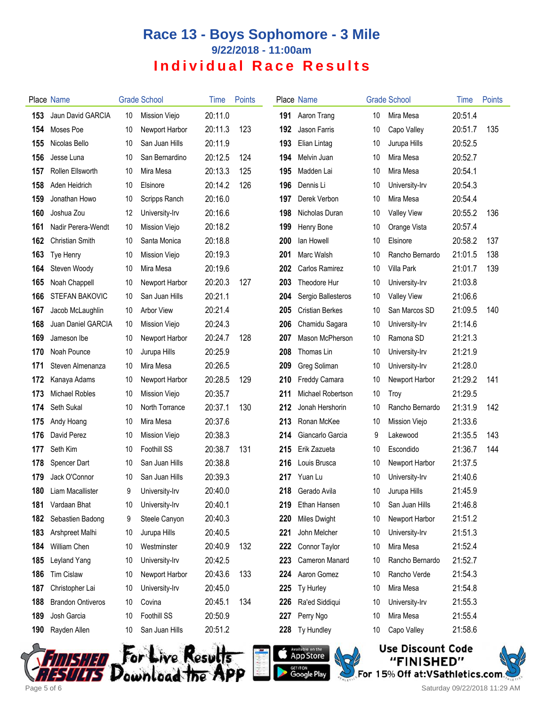|      | Place Name               |    | <b>Grade School</b> | <b>l</b> ime | <b>Points</b> |     | Place Name             |    | <b>Grade School</b> | Time    | Points |
|------|--------------------------|----|---------------------|--------------|---------------|-----|------------------------|----|---------------------|---------|--------|
| 153  | Jaun David GARCIA        | 10 | Mission Viejo       | 20:11.0      |               | 191 | Aaron Trang            | 10 | Mira Mesa           | 20:51.4 |        |
| 154  | Moses Poe                | 10 | Newport Harbor      | 20:11.3      | 123           | 192 | <b>Jason Farris</b>    | 10 | Capo Valley         | 20:51.7 | 135    |
| 155  | Nicolas Bello            | 10 | San Juan Hills      | 20:11.9      |               | 193 | Elian Lintag           | 10 | Jurupa Hills        | 20:52.5 |        |
| 156  | Jesse Luna               | 10 | San Bernardino      | 20:12.5      | 124           | 194 | Melvin Juan            | 10 | Mira Mesa           | 20:52.7 |        |
| 157  | Rollen Ellsworth         | 10 | Mira Mesa           | 20:13.3      | 125           | 195 | Madden Lai             | 10 | Mira Mesa           | 20:54.1 |        |
| 158  | Aden Heidrich            | 10 | Elsinore            | 20:14.2      | 126           | 196 | Dennis Li              | 10 | University-Irv      | 20:54.3 |        |
| 159  | Jonathan Howo            | 10 | Scripps Ranch       | 20:16.0      |               | 197 | Derek Verbon           | 10 | Mira Mesa           | 20:54.4 |        |
| 160  | Joshua Zou               | 12 | University-Irv      | 20:16.6      |               | 198 | Nicholas Duran         | 10 | <b>Valley View</b>  | 20:55.2 | 136    |
| 161  | Nadir Perera-Wendt       | 10 | Mission Viejo       | 20:18.2      |               | 199 | Henry Bone             | 10 | Orange Vista        | 20:57.4 |        |
| 162  | <b>Christian Smith</b>   | 10 | Santa Monica        | 20:18.8      |               | 200 | lan Howell             | 10 | Elsinore            | 20:58.2 | 137    |
| 163  | Tye Henry                | 10 | Mission Viejo       | 20:19.3      |               | 201 | Marc Walsh             | 10 | Rancho Bernardo     | 21:01.5 | 138    |
| 164  | Steven Woody             | 10 | Mira Mesa           | 20:19.6      |               | 202 | Carlos Ramirez         | 10 | Villa Park          | 21:01.7 | 139    |
| 165  | Noah Chappell            | 10 | Newport Harbor      | 20:20.3      | 127           | 203 | Theodore Hur           | 10 | University-Irv      | 21:03.8 |        |
| 166  | <b>STEFAN BAKOVIC</b>    | 10 | San Juan Hills      | 20:21.1      |               | 204 | Sergio Ballesteros     | 10 | <b>Valley View</b>  | 21:06.6 |        |
| 167  | Jacob McLaughlin         | 10 | Arbor View          | 20:21.4      |               | 205 | <b>Cristian Berkes</b> | 10 | San Marcos SD       | 21:09.5 | 140    |
| 168  | Juan Daniel GARCIA       | 10 | Mission Viejo       | 20:24.3      |               | 206 | Chamidu Sagara         | 10 | University-Irv      | 21:14.6 |        |
| 169  | Jameson Ibe              | 10 | Newport Harbor      | 20:24.7      | 128           | 207 | Mason McPherson        | 10 | Ramona SD           | 21:21.3 |        |
| 170  | Noah Pounce              | 10 | Jurupa Hills        | 20:25.9      |               | 208 | Thomas Lin             | 10 | University-Irv      | 21:21.9 |        |
| 171  | Steven Almenanza         | 10 | Mira Mesa           | 20:26.5      |               | 209 | Greg Soliman           | 10 | University-Irv      | 21:28.0 |        |
| 172  | Kanaya Adams             | 10 | Newport Harbor      | 20:28.5      | 129           | 210 | <b>Freddy Camara</b>   | 10 | Newport Harbor      | 21:29.2 | 141    |
| 173  | <b>Michael Robles</b>    | 10 | Mission Viejo       | 20:35.7      |               | 211 | Michael Robertson      | 10 | Troy                | 21:29.5 |        |
| 174  | Seth Sukal               | 10 | North Torrance      | 20:37.1      | 130           | 212 | Jonah Hershorin        | 10 | Rancho Bernardo     | 21:31.9 | 142    |
| 175  | Andy Hoang               | 10 | Mira Mesa           | 20:37.6      |               | 213 | Ronan McKee            | 10 | Mission Viejo       | 21:33.6 |        |
| 176  | David Perez              | 10 | Mission Viejo       | 20:38.3      |               | 214 | Giancarlo Garcia       | 9  | Lakewood            | 21:35.5 | 143    |
| 177  | Seth Kim                 | 10 | Foothill SS         | 20:38.7      | 131           | 215 | Erik Zazueta           | 10 | Escondido           | 21:36.7 | 144    |
| 178  | Spencer Dart             | 10 | San Juan Hills      | 20:38.8      |               | 216 | Louis Brusca           | 10 | Newport Harbor      | 21:37.5 |        |
| 179  | Jack O'Connor            | 10 | San Juan Hills      | 20:39.3      |               | 217 | Yuan Lu                | 10 | University-Irv      | 21:40.6 |        |
| 180. | Liam Macallister         | 9  | University-Irv      | 20:40.0      |               |     | 218 Gerado Avila       | 10 | Jurupa Hills        | 21:45.9 |        |
| 181  | Vardaan Bhat             | 10 | University-Irv      | 20:40.1      |               | 219 | Ethan Hansen           | 10 | San Juan Hills      | 21:46.8 |        |
| 182  | Sebastien Badong         | 9  | Steele Canyon       | 20:40.3      |               | 220 | Miles Dwight           | 10 | Newport Harbor      | 21:51.2 |        |
| 183  | Arshpreet Malhi          | 10 | Jurupa Hills        | 20:40.5      |               | 221 | John Melcher           | 10 | University-Irv      | 21:51.3 |        |
| 184  | William Chen             | 10 | Westminster         | 20:40.9      | 132           | 222 | Connor Taylor          | 10 | Mira Mesa           | 21:52.4 |        |
| 185  | Leyland Yang             | 10 | University-Irv      | 20:42.5      |               | 223 | Cameron Manard         | 10 | Rancho Bernardo     | 21:52.7 |        |
| 186  | <b>Tim Cislaw</b>        | 10 | Newport Harbor      | 20:43.6      | 133           | 224 | Aaron Gomez            | 10 | Rancho Verde        | 21:54.3 |        |
| 187  | Christopher Lai          | 10 | University-Irv      | 20:45.0      |               | 225 | Ty Hurley              | 10 | Mira Mesa           | 21:54.8 |        |
| 188  | <b>Brandon Ontiveros</b> | 10 | Covina              | 20:45.1      | 134           | 226 | Ra'ed Siddiqui         | 10 | University-Irv      | 21:55.3 |        |
| 189  | Josh Garcia              | 10 | Foothill SS         | 20:50.9      |               | 227 | Perry Ngo              | 10 | Mira Mesa           | 21:55.4 |        |
| 190  | Rayden Allen             | 10 | San Juan Hills      | 20:51.2      |               | 228 | Ty Hundley             | 10 | Capo Valley         | 21:58.6 |        |
|      |                          |    |                     |              |               |     |                        |    |                     |         |        |